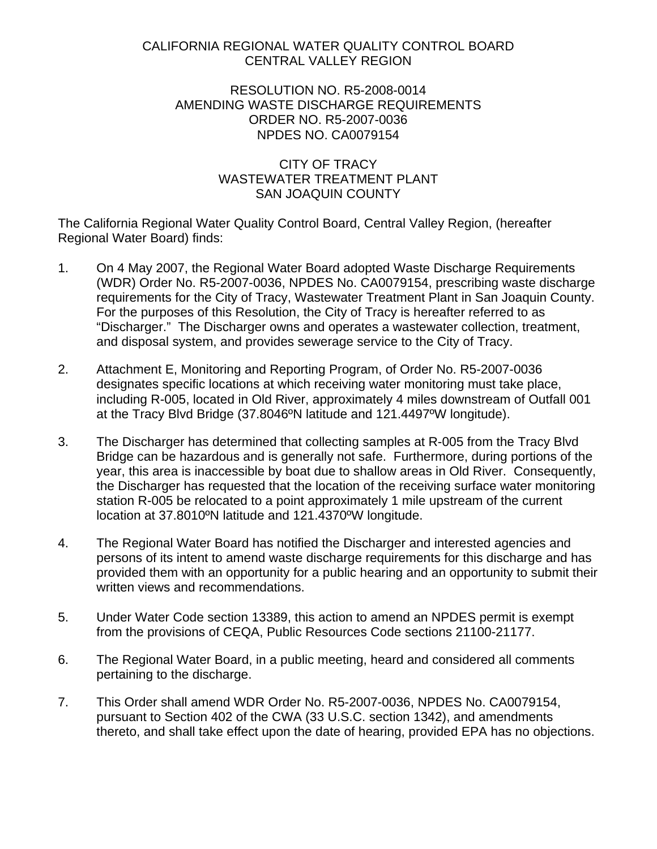## <span id="page-0-0"></span>CALIFORNIA REGIONAL WATER QUALITY CONTROL BOARD CENTRAL VALLEY REGION

## RESOLUTION NO. R5-2008-0014 AMENDING WASTE DISCHARGE REQUIREMENTS ORDER NO. R5-2007-0036 NPDES NO. CA0079154

## CITY OF TRACY WASTEWATER TREATMENT PLANT SAN JOAQUIN COUNTY

The California Regional Water Quality Control Board, Central Valley Region, (hereafter Regional Water Board) finds:

- 1. On 4 May 2007, the Regional Water Board adopted Waste Discharge Requirements (WDR) Order No. R5-2007-0036, NPDES No. CA0079154, prescribing waste discharge requirements for the City of Tracy, Wastewater Treatment Plant in San Joaquin County. For the purposes of this Resolution, the City of Tracy is hereafter referred to as "Discharger." The Discharger owns and operates a wastewater collection, treatment, and disposal system, and provides sewerage service to the City of Tracy.
- 2. Attachment E, Monitoring and Reporting Program, of Order No. R5-2007-0036 designates specific locations at which receiving water monitoring must take place, including R-005, located in Old River, approximately 4 miles downstream of Outfall 001 at the Tracy Blvd Bridge (37.8046ºN latitude and 121.4497ºW longitude).
- 3. The Discharger has determined that collecting samples at R-005 from the Tracy Blvd Bridge can be hazardous and is generally not safe. Furthermore, during portions of the year, this area is inaccessible by boat due to shallow areas in Old River. Consequently, the Discharger has requested that the location of the receiving surface water monitoring station R-005 be relocated to a point approximately 1 mile upstream of the current location at 37.8010ºN latitude and 121.4370ºW longitude.
- 4. The Regional Water Board has notified the Discharger and interested agencies and persons of its intent to amend waste discharge requirements for this discharge and has provided them with an opportunity for a public hearing and an opportunity to submit their written views and recommendations.
- 5. Under Water Code section 13389, this action to amend an NPDES permit is exempt from the provisions of CEQA, Public Resources Code sections 21100-21177.
- 6. The Regional Water Board, in a public meeting, heard and considered all comments pertaining to the discharge.
- 7. This Order shall amend WDR Order No. R5-2007-0036, NPDES No. CA0079154, pursuant to Section 402 of the CWA (33 U.S.C. section 1342), and amendments thereto, and shall take effect upon the date of hearing, provided EPA has no objections.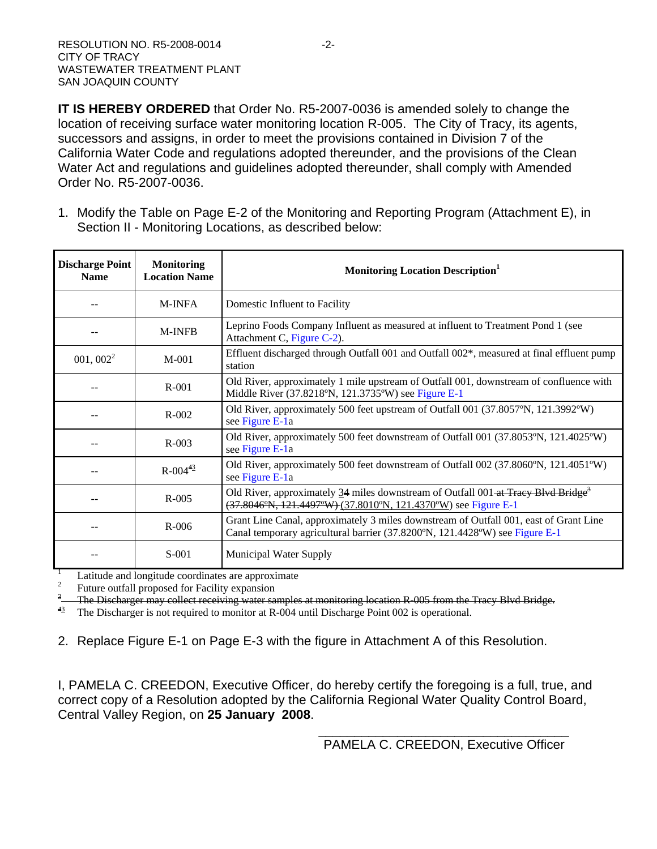**IT IS HEREBY ORDERED** that Order No. R5-2007-0036 is amended solely to change the location of receiving surface water monitoring location R-005. The City of Tracy, its agents, successors and assigns, in order to meet the provisions contained in Division 7 of the California Water Code and regulations adopted thereunder, and the provisions of the Clean Water Act and regulations and guidelines adopted thereunder, shall comply with Amended Order No. R5-2007-0036.

1. Modify the Table on Page E-2 of the Monitoring and Reporting Program (Attachment E), in Section II - Monitoring Locations, as described below:

| <b>Discharge Point</b><br><b>Name</b> | <b>Monitoring</b><br><b>Location Name</b> | <b>Monitoring Location Description</b>                                                                                                                               |
|---------------------------------------|-------------------------------------------|----------------------------------------------------------------------------------------------------------------------------------------------------------------------|
|                                       | <b>M-INFA</b>                             | Domestic Influent to Facility                                                                                                                                        |
|                                       | <b>M-INFB</b>                             | Leprino Foods Company Influent as measured at influent to Treatment Pond 1 (see<br>Attachment C, Figure C-2).                                                        |
| $001, 002^2$                          | $M-001$                                   | Effluent discharged through Outfall 001 and Outfall 002*, measured at final effluent pump<br>station                                                                 |
|                                       | $R-001$                                   | Old River, approximately 1 mile upstream of Outfall 001, downstream of confluence with<br>Middle River (37.8218°N, 121.3735°W) see Figure E-1                        |
|                                       | $R - 002$                                 | Old River, approximately 500 feet upstream of Outfall 001 (37.8057°N, 121.3992°W)<br>see Figure E-1a                                                                 |
|                                       | $R-003$                                   | Old River, approximately 500 feet downstream of Outfall 001 (37.8053°N, 121.4025°W)<br>see Figure E-1a                                                               |
|                                       | $R - 00443$                               | Old River, approximately 500 feet downstream of Outfall 002 (37.8060°N, 121.4051°W)<br>see Figure E-1a                                                               |
|                                       | $R-005$                                   | Old River, approximately 34 miles downstream of Outfall 001-at Tracy Blvd Bridge <sup>3</sup><br>(37.8046°N, 121.4497°W) (37.8010°N, 121.4370°W) see Figure E-1      |
|                                       | $R - 006$                                 | Grant Line Canal, approximately 3 miles downstream of Outfall 001, east of Grant Line<br>Canal temporary agricultural barrier (37.8200°N, 121.4428°W) see Figure E-1 |
|                                       | $S-001$                                   | Municipal Water Supply                                                                                                                                               |

1 Latitude and longitude coordinates are approximate

2 Future outfall proposed for Facility expansion

The Discharger may collect receiving water samples at monitoring location R-005 from the Tracy Blvd Bridge.

<sup>43</sup> The Discharger is not required to monitor at R-004 until Discharge Point 002 is operational.

2. Replace Figure E-1 on Page E-3 with the figure in Attachment A of this Resolution.

I, PAMELA C. CREEDON, Executive Officer, do hereby certify the foregoing is a full, true, and correct copy of a Resolution adopted by the California Regional Water Quality Control Board, Central Valley Region, on **25 January 2008**.